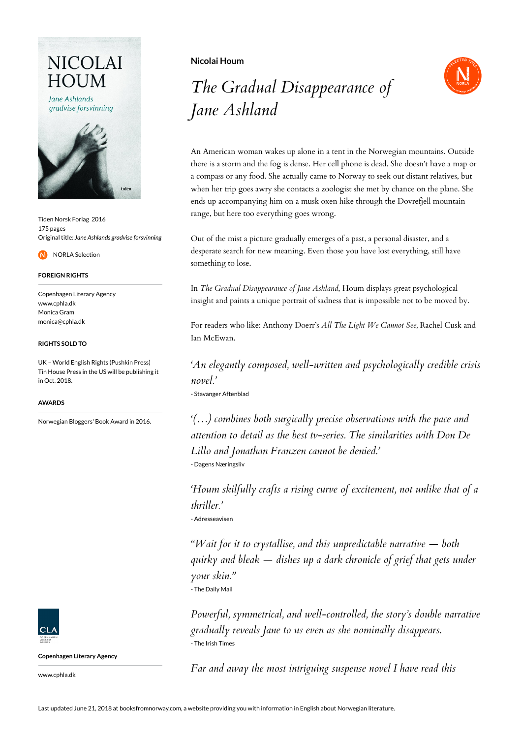## **NICOLAI** HOUM

Jane Ashlands gradvise forsvinning



Tiden Norsk Forlag 2016 175 pages Original title: *Jane Ashlands gradvise forsvinning*

NORLA Selection

#### **FOREIGN RIGHTS**

Copenhagen Literary Agency www.cphla.dk Monica Gram monica@cphla.dk

#### **RIGHTS SOLD TO**

UK – World English Rights (Pushkin Press) Tin House Press in the US will be publishing it in Oct. 2018.

#### **AWARDS**

Norwegian Bloggers' Book Award in 2016.



**Copenhagen Literary Agency**

www.cphla.dk

**Nicolai Houm**

# *The Gradual Disappearance of Jane Ashland*



An American woman wakes up alone in a tent in the Norwegian mountains. Outside there is a storm and the fog is dense. Her cell phone is dead. She doesn't have a map or a compass or any food. She actually came to Norway to seek out distant relatives, but when her trip goes awry she contacts a zoologist she met by chance on the plane. She ends up accompanying him on a musk oxen hike through the Dovrefjell mountain range, but here too everything goes wrong.

Out of the mist a picture gradually emerges of a past, a personal disaster, and a desperate search for new meaning. Even those you have lost everything, still have something to lose.

In *The Gradual Disappearance of Jane Ashland*, Houm displays great psychological insight and paints a unique portrait of sadness that is impossible not to be moved by.

For readers who like: Anthony Doerr's *All The Light We Cannot See,* Rachel Cusk and Ian McEwan.

*'An elegantly composed, well-written and psychologically credible crisis novel.'*

- Stavanger Aftenblad

*'(…) combines both surgically precise observations with the pace and attention to detail as the best tv-series. The similarities with Don De Lillo and Jonathan Franzen cannot be denied.'* - Dagens Næringsliv

*'Houm skilfully crafts a rising curve of excitement, not unlike that of a thriller.'*

- Adresseavisen

*"Wait for it to crystallise, and this unpredictable narrative — both quirky and bleak — dishes up a dark chronicle of grief that gets under your skin."* - The Daily Mail

*Powerful, symmetrical, and well-controlled, the story's double narrative gradually reveals Jane to us even as she nominally disappears.* - The Irish Times

*Far and away the most intriguing suspense novel I have read this*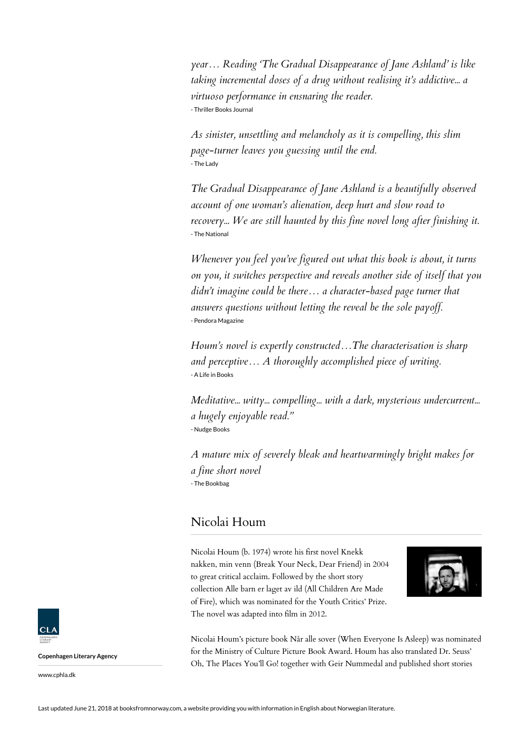*year… Reading 'The Gradual Disappearance of Jane Ashland' is like taking incremental doses of a drug without realising it's addictive... a virtuoso performance in ensnaring the reader.* - Thriller Books Journal

*As sinister, unsettling and melancholy as it is compelling, this slim page-turner leaves you guessing until the end.* - The Lady

*The Gradual Disappearance of Jane Ashland is a beautifully observed account of one woman's alienation, deep hurt and slow road to recovery... We are still haunted by this fine novel long after finishing it.* - The National

*Whenever you feel you've figured out what this book is about, it turns on you, it switches perspective and reveals another side of itself that you didn't imagine could be there… a character-based page turner that answers questions without letting the reveal be the sole payoff.* - Pendora Magazine

*Houm's novel is expertly constructed…The characterisation is sharp and perceptive… A thoroughly accomplished piece of writing.* - A Life in Books

*Meditative... witty... compelling... with a dark, mysterious undercurrent... a hugely enjoyable read."* - Nudge Books

*A mature mix of severely bleak and heartwarmingly bright makes for a fine short novel* - The Bookbag

### Nicolai Houm

Nicolai Houm (b. 1974) wrote his first novel Knekk nakken, min venn (Break Your Neck, Dear Friend) in 2004 to great critical acclaim. Followed by the short story collection Alle barn er laget av ild (All Children Are Made of Fire), which was nominated for the Youth Critics' Prize. The novel was adapted into film in 2012.



Nicolai Houm's picture book Når alle sover (When Everyone Is Asleep) was nominated for the Ministry of Culture Picture Book Award. Houm has also translated Dr. Seuss' Oh, The Places You'll Go! together with Geir Nummedal and published short stories



**Copenhagen Literary Agency**

www.cphla.dk